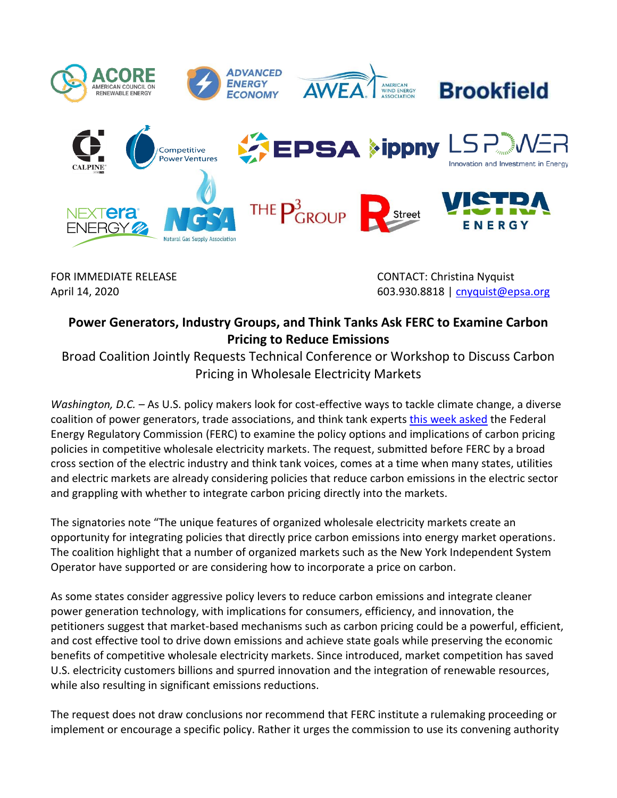

FOR IMMEDIATE RELEASE **CONTACT:** Christina Nyquist April 14, 2020 **April 14, 2020 603.930.8818** | [cnyquist@epsa.org](mailto:cnyquist@epsa.org)

# **Power Generators, Industry Groups, and Think Tanks Ask FERC to Examine Carbon Pricing to Reduce Emissions**

Broad Coalition Jointly Requests Technical Conference or Workshop to Discuss Carbon Pricing in Wholesale Electricity Markets

*Washington, D.C. –* As U.S. policy makers look for cost-effective ways to tackle climate change, a diverse coalition of power generators, trade associations, and think tank experts [this week](https://elibrary.ferc.gov/idmws/common/OpenNat.asp?fileID=15509202) asked the Federal Energy Regulatory Commission (FERC) to examine the policy options and implications of carbon pricing policies in competitive wholesale electricity markets. The request, submitted before FERC by a broad cross section of the electric industry and think tank voices, comes at a time when many states, utilities and electric markets are already considering policies that reduce carbon emissions in the electric sector and grappling with whether to integrate carbon pricing directly into the markets.

The signatories note "The unique features of organized wholesale electricity markets create an opportunity for integrating policies that directly price carbon emissions into energy market operations. The coalition highlight that a number of organized markets such as the New York Independent System Operator have supported or are considering how to incorporate a price on carbon.

As some states consider aggressive policy levers to reduce carbon emissions and integrate cleaner power generation technology, with implications for consumers, efficiency, and innovation, the petitioners suggest that market-based mechanisms such as carbon pricing could be a powerful, efficient, and cost effective tool to drive down emissions and achieve state goals while preserving the economic benefits of competitive wholesale electricity markets. Since introduced, market competition has saved U.S. electricity customers billions and spurred innovation and the integration of renewable resources, while also resulting in significant emissions reductions.

The request does not draw conclusions nor recommend that FERC institute a rulemaking proceeding or implement or encourage a specific policy. Rather it urges the commission to use its convening authority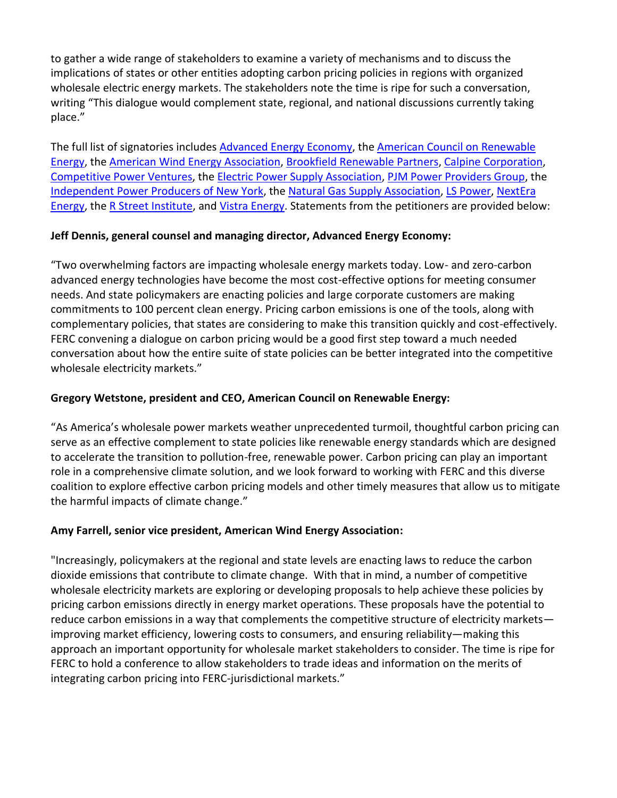to gather a wide range of stakeholders to examine a variety of mechanisms and to discuss the implications of states or other entities adopting carbon pricing policies in regions with organized wholesale electric energy markets. The stakeholders note the time is ripe for such a conversation, writing "This dialogue would complement state, regional, and national discussions currently taking place."

The full list of signatories include[s Advanced Energy Economy,](https://www.aee.net/) the [American Council on Renewable](http://www.acore.org/)  [Energy,](http://www.acore.org/) the [American Wind Energy Association,](http://www.awea.org/) [Brookfield Renewable](https://bep.brookfield.com/) Partners, [Calpine Corporation,](http://calpine.com/) [Competitive Power Ventures,](http://www.cpv.com/) the [Electric Power Supply Association,](http://www.epsa.org/) [PJM Power Providers Group,](https://www.p3powergroup.com/) the [Independent Power Producers of New York,](http://www.ippny.org/) the [Natural Gas Supply Association,](http://www.ngsa.org/) [LS Power,](https://www.lspower.com/) [NextEra](http://www.nexteraenergy.com/)  [Energy,](http://www.nexteraenergy.com/) the [R Street Institute,](https://www.rstreet.org/) and [Vistra Energy.](https://www.vistraenergy.com/) Statements from the petitioners are provided below:

## **Jeff Dennis, general counsel and managing director, Advanced Energy Economy:**

"Two overwhelming factors are impacting wholesale energy markets today. Low- and zero-carbon advanced energy technologies have become the most cost-effective options for meeting consumer needs. And state policymakers are enacting policies and large corporate customers are making commitments to 100 percent clean energy. Pricing carbon emissions is one of the tools, along with complementary policies, that states are considering to make this transition quickly and cost-effectively. FERC convening a dialogue on carbon pricing would be a good first step toward a much needed conversation about how the entire suite of state policies can be better integrated into the competitive wholesale electricity markets."

### **Gregory Wetstone, president and CEO, American Council on Renewable Energy:**

"As America's wholesale power markets weather unprecedented turmoil, thoughtful carbon pricing can serve as an effective complement to state policies like renewable energy standards which are designed to accelerate the transition to pollution-free, renewable power. Carbon pricing can play an important role in a comprehensive climate solution, and we look forward to working with FERC and this diverse coalition to explore effective carbon pricing models and other timely measures that allow us to mitigate the harmful impacts of climate change."

#### **Amy Farrell, senior vice president, American Wind Energy Association:**

"Increasingly, policymakers at the regional and state levels are enacting laws to reduce the carbon dioxide emissions that contribute to climate change. With that in mind, a number of competitive wholesale electricity markets are exploring or developing proposals to help achieve these policies by pricing carbon emissions directly in energy market operations. These proposals have the potential to reduce carbon emissions in a way that complements the competitive structure of electricity markets improving market efficiency, lowering costs to consumers, and ensuring reliability—making this approach an important opportunity for wholesale market stakeholders to consider. The time is ripe for FERC to hold a conference to allow stakeholders to trade ideas and information on the merits of integrating carbon pricing into FERC-jurisdictional markets."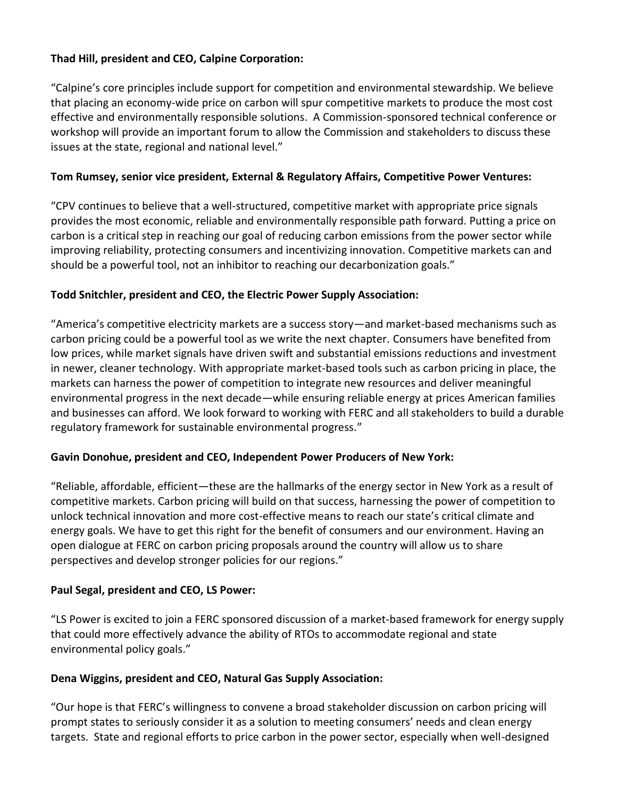## **Thad Hill, president and CEO, Calpine Corporation:**

"Calpine's core principles include support for competition and environmental stewardship. We believe that placing an economy-wide price on carbon will spur competitive markets to produce the most cost effective and environmentally responsible solutions. A Commission-sponsored technical conference or workshop will provide an important forum to allow the Commission and stakeholders to discuss these issues at the state, regional and national level."

#### **Tom Rumsey, senior vice president, External & Regulatory Affairs, Competitive Power Ventures:**

"CPV continues to believe that a well-structured, competitive market with appropriate price signals provides the most economic, reliable and environmentally responsible path forward. Putting a price on carbon is a critical step in reaching our goal of reducing carbon emissions from the power sector while improving reliability, protecting consumers and incentivizing innovation. Competitive markets can and should be a powerful tool, not an inhibitor to reaching our decarbonization goals."

#### **Todd Snitchler, president and CEO, the Electric Power Supply Association:**

"America's competitive electricity markets are a success story—and market-based mechanisms such as carbon pricing could be a powerful tool as we write the next chapter. Consumers have benefited from low prices, while market signals have driven swift and substantial emissions reductions and investment in newer, cleaner technology. With appropriate market-based tools such as carbon pricing in place, the markets can harness the power of competition to integrate new resources and deliver meaningful environmental progress in the next decade—while ensuring reliable energy at prices American families and businesses can afford. We look forward to working with FERC and all stakeholders to build a durable regulatory framework for sustainable environmental progress."

#### **Gavin Donohue, president and CEO, Independent Power Producers of New York:**

"Reliable, affordable, efficient—these are the hallmarks of the energy sector in New York as a result of competitive markets. Carbon pricing will build on that success, harnessing the power of competition to unlock technical innovation and more cost-effective means to reach our state's critical climate and energy goals. We have to get this right for the benefit of consumers and our environment. Having an open dialogue at FERC on carbon pricing proposals around the country will allow us to share perspectives and develop stronger policies for our regions."

#### **Paul Segal, president and CEO, LS Power:**

"LS Power is excited to join a FERC sponsored discussion of a market-based framework for energy supply that could more effectively advance the ability of RTOs to accommodate regional and state environmental policy goals."

#### **Dena Wiggins, president and CEO, Natural Gas Supply Association:**

"Our hope is that FERC's willingness to convene a broad stakeholder discussion on carbon pricing will prompt states to seriously consider it as a solution to meeting consumers' needs and clean energy targets. State and regional efforts to price carbon in the power sector, especially when well-designed